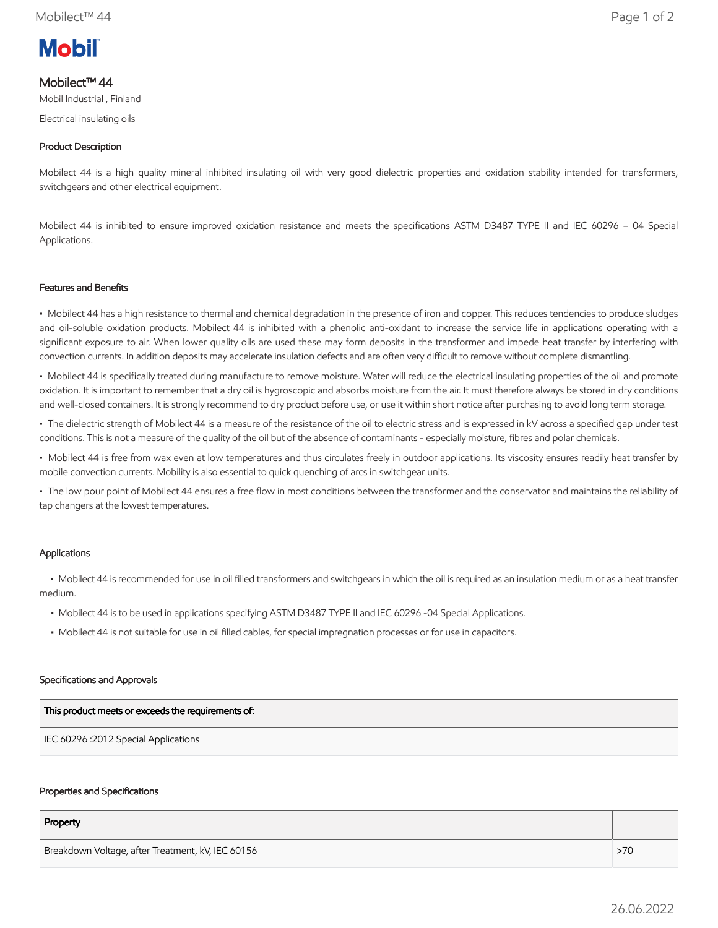# **Mobil**

# Mobilect™ 44

Mobil Industrial , Finland

Electrical insulating oils

# Product Description

Mobilect 44 is a high quality mineral inhibited insulating oil with very good dielectric properties and oxidation stability intended for transformers, switchgears and other electrical equipment.

Mobilect 44 is inhibited to ensure improved oxidation resistance and meets the specifications ASTM D3487 TYPE II and IEC 60296 – 04 Special Applications.

## Features and Benefits

• Mobilect 44 has a high resistance to thermal and chemical degradation in the presence of iron and copper. This reduces tendencies to produce sludges and oil-soluble oxidation products. Mobilect 44 is inhibited with a phenolic anti-oxidant to increase the service life in applications operating with a significant exposure to air. When lower quality oils are used these may form deposits in the transformer and impede heat transfer by interfering with convection currents. In addition deposits may accelerate insulation defects and are often very difficult to remove without complete dismantling.

• Mobilect 44 is specifically treated during manufacture to remove moisture. Water will reduce the electrical insulating properties of the oil and promote oxidation. It is important to remember that a dry oil is hygroscopic and absorbs moisture from the air. It must therefore always be stored in dry conditions and well-closed containers. It is strongly recommend to dry product before use, or use it within short notice after purchasing to avoid long term storage.

• The dielectric strength of Mobilect 44 is a measure of the resistance of the oil to electric stress and is expressed in kV across a specified gap under test conditions. This is not a measure of the quality of the oil but of the absence of contaminants - especially moisture, fibres and polar chemicals.

• Mobilect 44 is free from wax even at low temperatures and thus circulates freely in outdoor applications. Its viscosity ensures readily heat transfer by mobile convection currents. Mobility is also essential to quick quenching of arcs in switchgear units.

• The low pour point of Mobilect 44 ensures a free flow in most conditions between the transformer and the conservator and maintains the reliability of tap changers at the lowest temperatures.

# Applications

 • Mobilect 44 is recommended for use in oil filled transformers and switchgears in which the oil is required as an insulation medium or as a heat transfer medium.

- Mobilect 44 is to be used in applications specifying ASTM D3487 TYPE II and IEC 60296 -04 Special Applications.
- Mobilect 44 is not suitable for use in oil filled cables, for special impregnation processes or for use in capacitors.

#### Specifications and Approvals

| This product meets or exceeds the requirements of: |
|----------------------------------------------------|
| IEC 60296 :2012 Special Applications               |

#### Properties and Specifications

| Property                                          |     |
|---------------------------------------------------|-----|
| Breakdown Voltage, after Treatment, kV, IEC 60156 | >70 |